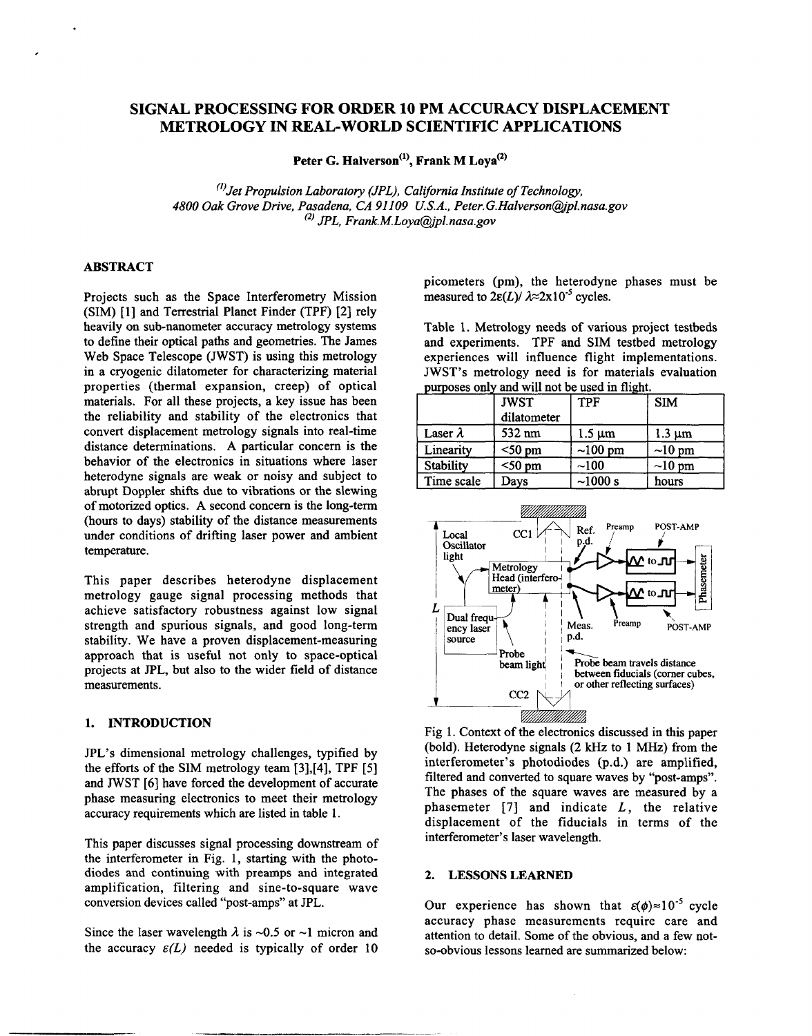# **SIGNAL PROCESSING FOR ORDER 10 PM ACCURACY DISPLACEMENT METROLOGY IN REAL-WORLD SCIENTIFIC APPLICATIONS**

Peter G. Halverson<sup>(1)</sup>, Frank M Loya<sup>(2)</sup>

*")Jet Propulsion Laboratory (JPL), Calijornia Institute of Technology, 4800 Oak Grove Drive, Pasadena, CA 91 I09 U.S.A.. [Peter.G.Halverson@pl.nasa.gov](mailto:Peter.G.Halverson@pl.nasa.gov)*  <sup>(2)</sup> *JPL, Frank.M.Loya@jpl.nasa.gov* 

## **ABSTRACT**

Projects such as the Space Interferometry Mission (SIM) [l] and Terrestrial Planet Finder (TPF) [2] rely heavily on sub-nanometer accuracy metrology systems to define their optical paths and geometries. The James Web Space Telescope (JWST) is using this metrology in a cryogenic dilatometer for characterizing material properties (thermal expansion, creep) of optical materials. For all these projects, a key issue has been the reliability and stability of the electronics that convert displacement metrology signals into real-time distance determinations. A particular concern is the behavior of the electronics in situations where laser heterodyne signals are weak or noisy and subject to abrupt Doppler shifts due to vibrations or the slewing of motorized optics. A second concern is the long-term (hours to days) stability of the distance measurements under conditions of drifting laser power and ambient temperature.

This paper describes heterodyne displacement metrology gauge signal processing methods that achieve satisfactory robustness against low signal strength and spurious signals, and good long-term stability. We have a proven displacement-measuring approach that is useful not only to space-optical projects at JPL, but also to the wider field of distance measurements.

#### **1. INTRODUCTION**

JPL's dimensional metrology challenges, typified by the efforts of the SIM metrology team **[3],[4],** TPF [5] and JWST **[6]** have forced the development of accurate phase measuring electronics to meet their metrology accuracy requirements which are listed in table 1.

This paper discusses signal processing downstream of the interferometer in Fig. 1, starting with the photodiodes and continuing with preamps and integrated amplification, filtering and sine-to-square wave conversion devices called "post-amps'' at JPL.

Since the laser wavelength  $\lambda$  is  $\sim 0.5$  or  $\sim 1$  micron and the accuracy  $\varepsilon(L)$  needed is typically of order 10 picometers (pm), the heterodyne phases must be measured to  $2\varepsilon(L)/\lambda \approx 2x10^{-5}$  cycles.

Table 1. Metrology needs of various project testbeds and experiments. TPF and SIM testbed metrology experiences will influence flight implementations. JWST's metrology need is for materials evaluation purposes only and will not be used in flight.

|                  | <b>JWST</b><br>dilatometer | <b>TPF</b>    | <b>SIM</b>   |
|------------------|----------------------------|---------------|--------------|
| Laser $\lambda$  | 532 nm                     | $1.5 \mu m$   | $1.3 \mu m$  |
| Linearity        | $<$ 50 pm                  | $\sim$ 100 pm | $\sim$ 10 pm |
| <b>Stability</b> | $<$ 50 pm                  | ~100          | $\sim$ 10 pm |
| Time scale       | Days                       | ~1000 s       | hours        |



Fig 1. Context of the electronics discussed in this paper (bold). Heterodyne signals (2 **kHz** to 1 MHz) from the interferometer's photodiodes (p.d.) are amplified, filtered and converted to square waves by "post-amps". The phases of the square waves are measured by a phasemeter [7] and indicate *L,* the relative displacement of the fiducials in terms of the interferometer's laser wavelength.

#### **2. LESSONS LEARNED**

Our experience has shown that  $\varepsilon(\phi) \approx 10^{-5}$  cycle accuracy phase measurements require care and attention to detail. Some of the obvious, and a few notso-obvious lessons learned are summarized below: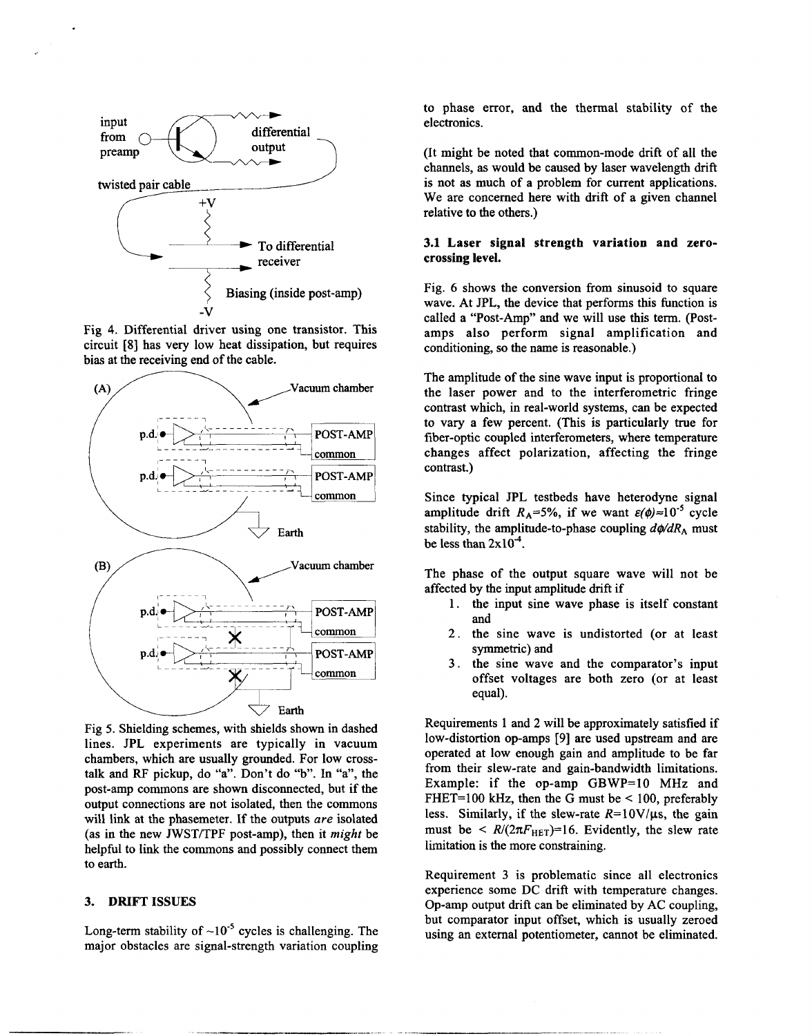

Fig **4.** Differential driver using one transistor. This circuit **[8]** has very low heat dissipation, but requires bias at the receiving end of the cable.



Fig *5.* Shielding schemes, with shields shown in dashed lines. JPL experiments are typically in vacuum chambers, which are usually grounded. For low crosstalk and RF pickup, do "a". Don't do "b". In "a", the post-amp commons are shown disconnected, but if the output connections are not isolated, then the commons will link at the phasemeter. If the outputs are isolated (as in the new JWST/TPF post-amp), then it might be helpful to link the commons and possibly connect them to earth.

#### **3. DRIFT ISSUES**

Long-term stability of  $\sim 10^{-5}$  cycles is challenging. The major obstacles are signal-strength variation coupling to phase error, and the thermal stability of the electronics.

(It might be noted that common-mode drift of all the channels, as would be caused by laser wavelength drift is not as much of a problem for current applications. We are concerned here with drift of a given channel relative to the others.)

## **3.1 Laser signal strength variation and zerocrossing level.**

Fig. 6 shows the conversion from sinusoid to square wave. At JPL, the device that performs this function is called a "Post-Amp" and we will use this term. (Postamps also perform signal amplification and conditioning, so the name is reasonable.)

The amplitude of the sine wave input is proportional to the laser power and to the interferometric fringe contrast which, in real-world systems, can be expected to vary a few percent. (This is particularly true for fiber-optic coupled interferometers, where temperature changes affect polarization, affecting the fringe contrast.)

Since typical JPL testbeds have heterodyne signal amplitude drift  $R_A=5\%$ , if we want  $\varepsilon(\phi) \approx 10^{-5}$  cycle stability, the amplitude-to-phase coupling  $d\phi/dR_A$  must be less than  $2x10^{-4}$ .

The phase of the output square wave will not be affected by the input amplitude drift if

- 1. the input sine wave phase is itself constant and
- 2. the sine wave is undistorted (or at least symmetric) and
- 3. the sine wave and the comparator's input offset voltages are both zero (or at least equal).

Requirements 1 and 2 will be approximately satisfied if low-distortion op-amps [9] are used upstream and are operated at low enough gain and amplitude to be far from their slew-rate and gain-bandwidth limitations. Example: if the op-amp GBWP=lO MHz and FHET=100 kHz, then the G must be  $\leq$  100, preferably less. Similarly, if the slew-rate  $R=10V/\mu s$ , the gain must be  $\langle R/(2\pi F_{\text{HET}})=16$ . Evidently, the slew rate limitation is the more constraining.

Requirement 3 is problematic since all electronics experience some DC drift with temperature changes. Op-amp output drift can be eliminated by AC coupling, but comparator input offset, which is usually zeroed using an external potentiometer, cannot be eliminated.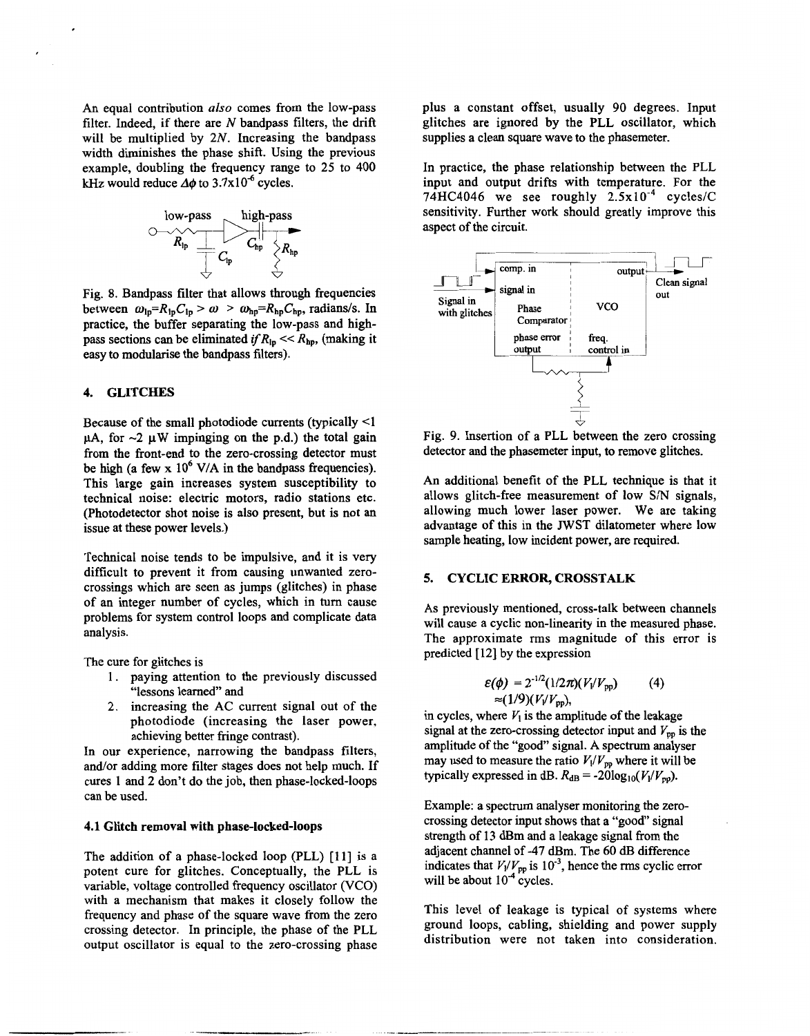An equal contribution *also* comes from the low-pass filter. Indeed, if there are *N* bandpass filters, the drift will be multiplied by  $2N$ . Increasing the bandpass width diminishes the phase shift. Using the previous example, doubling the frequency range to 25 to 400 kHz would reduce  $\Delta\phi$  to  $3.7x10^{-6}$  cycles.



Fig. 8. Bandpass filter that allows through frequencies between  $\omega_{lp} = R_{lp}C_{lp} > \omega > \omega_{hp} = R_{hp}C_{hp}$ , radians/s. In practice, the buffer separating the low-pass and highpass sections can be eliminated  $if R_{lp} \ll R_{hp}$ , (making it easy to modularise the bandpass filters).

#### **4. GLITCHES**

Because of the small photodiode currents (typically <1  $\mu$ A, for  $\sim$ 2  $\mu$ W impinging on the p.d.) the total gain from the front-end to the zero-crossing detector must be high (a few x  $10^6$  V/A in the bandpass frequencies). This large gain increases system susceptibility to technical noise: electric motors, radio stations etc. (Photodetector shot noise is also present, but is not an issue at these power levels.)

Technical noise tends to be impulsive, and it is very difficult to prevent it from causing unwanted zerocrossings which are seen as jumps (glitches) in phase of an integer number of cycles, which in turn cause problems for system control loops and complicate data analysis.

The cure for glitches is

- 1. paying attention to the previously discussed "lessons learned" and
- 2. increasing the AC current signal out of the photodiode (increasing the laser power, achieving better fringe contrast).

In our experience, narrowing the bandpass filters, and/or adding more filter stages does not help much. If cures 1 and 2 don't do the job, then phase-locked-loops can be used.

#### **4.1 Glitch removal with phase-locked-loops**

The addition of a phase-locked loop (PLL) [11] is a potent cure for glitches. Conceptually, the PLL is variable, voltage controlled frequency oscillator (VCO) with a mechanism that makes it closely follow the frequency and phase of the square wave from the zero crossing detector. In principle, the phase of the PLL output oscillator is equal to the zero-crossing phase plus a constant offset, usually 90 degrees. Input glitches are ignored by the PLL oscillator, which supplies a clean square wave to the phasemeter.

In practice, the phase relationship between the PLL input and output drifts with temperature. For the  $74H$ C4046 we see roughly  $2.5x10^{-4}$  cycles/C sensitivity. Further work should greatly improve this aspect of the circuit.



Fig. 9. Insertion of a PLL between the zero crossing detector and the phasemeter input, to remove glitches.

An additional benefit of the PLL technique is that it allows glitch-free measurement of low **S/N** signals, allowing much lower laser power. We are taking advantage of this in the **JWST** dilatometer where low sample heating, low incident power, are required.

#### **5. CYCLIC ERROR, CROSSTALK**

As previously mentioned, cross-talk between channels will cause a cyclic non-linearity in the measured phase. The approximate rms magnitude of this error is predicted [ 121 by the expression

$$
\mathcal{E}(\phi) = 2^{-1/2} (1/2\pi) (V_1/V_{\text{pp}}) \tag{4}
$$
  
\n
$$
\approx (1/9) (V_1/V_{\text{pp}}),
$$

in cycles, where  $V_1$  is the amplitude of the leakage signal at the zero-crossing detector input and  $V_{\text{pp}}$  is the amplitude of the "good" signal. A spectrum analyser may used to measure the ratio  $V_1/V_{\text{pp}}$  where it will be typically expressed in dB.  $R_{dB} = -20\log_{10}(V_1/V_{pp})$ .

Example: a spectrum analyser monitoring the zerocrossing detector input shows that a "good" signal strength of 13 dBm and a leakage signal from the adjacent channel of -47 dBm. The 60 **dB** difference indicates that  $V_1/V_{\text{pp}}$  is 10<sup>-3</sup>, hence the rms cyclic error will be about  $10<sup>-4</sup>$  cycles.

This level of leakage is typical of systems where ground loops, cabling, shielding and power supply distribution were not taken into consideration.